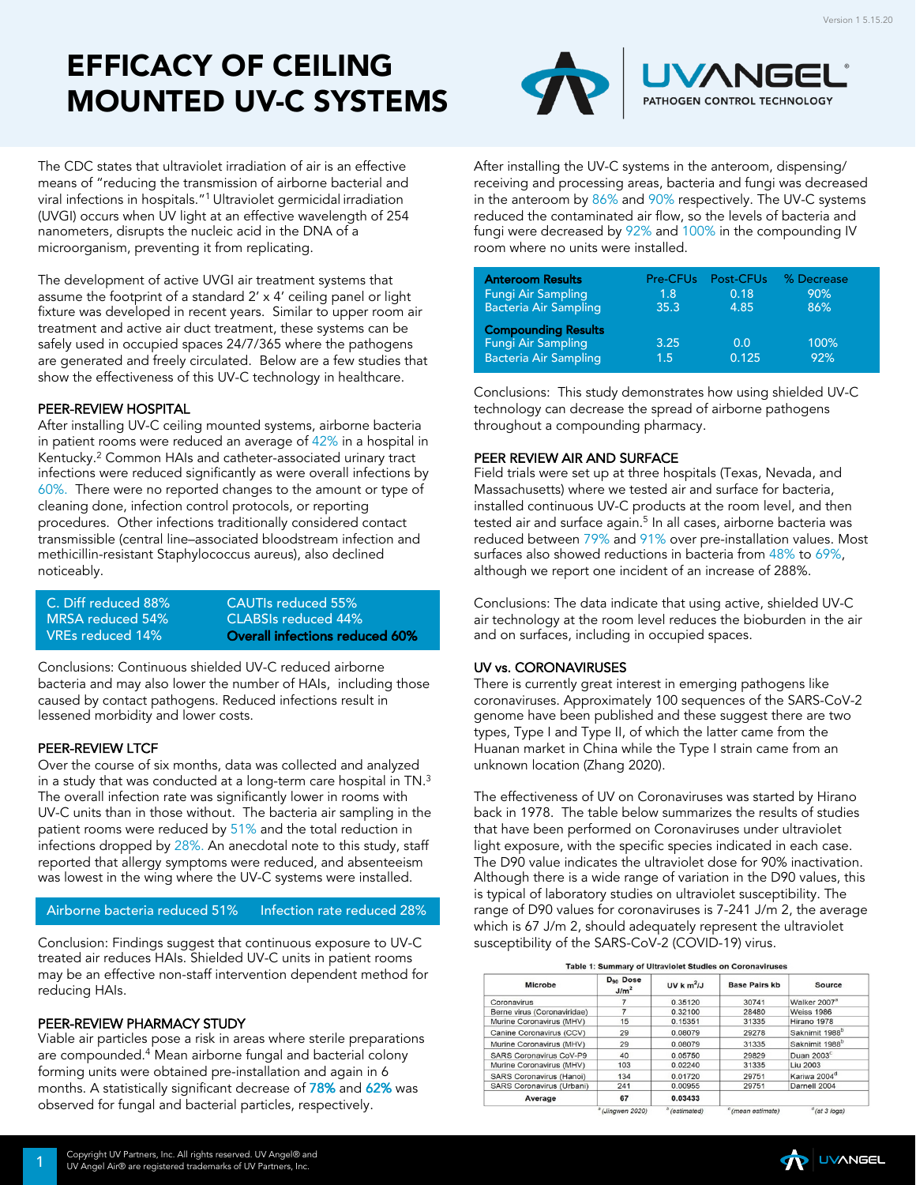# EFFICACY OF CEILING MOUNTED UV-C SYSTEMS



The CDC states that ultraviolet irradiation of air is an effective means of "reducing the transmission of airborne bacterial and viral infections in hospitals."1 Ultraviolet germicidal irradiation (UVGI) occurs when UV light at an effective wavelength of 254 nanometers, disrupts the nucleic acid in the DNA of a microorganism, preventing it from replicating.

The development of active UVGI air treatment systems that assume the footprint of a standard 2' x 4' ceiling panel or light fixture was developed in recent years. Similar to upper room air treatment and active air duct treatment, these systems can be safely used in occupied spaces 24/7/365 where the pathogens are generated and freely circulated. Below are a few studies that show the effectiveness of this UV-C technology in healthcare.

# PEER-REVIEW HOSPITAL

After installing UV-C ceiling mounted systems, airborne bacteria in patient rooms were reduced an average of 42% in a hospital in Kentucky.2 Common HAIs and catheter-associated urinary tract infections were reduced significantly as were overall infections by 60%. There were no reported changes to the amount or type of cleaning done, infection control protocols, or reporting procedures. Other infections traditionally considered contact transmissible (central line–associated bloodstream infection and methicillin-resistant Staphylococcus aureus), also declined noticeably.

C. Diff reduced 88% CAUTIs reduced 55%<br>
MRSA reduced 54% CLABSIs reduced 44% CLABSIs reduced 44% VREs reduced 14% Overall infections reduced 60%

Conclusions: Continuous shielded UV-C reduced airborne bacteria and may also lower the number of HAIs, including those caused by contact pathogens. Reduced infections result in lessened morbidity and lower costs.

## PEER-REVIEW LTCF

Over the course of six months, data was collected and analyzed in a study that was conducted at a long-term care hospital in TN.3 The overall infection rate was significantly lower in rooms with UV-C units than in those without. The bacteria air sampling in the patient rooms were reduced by 51% and the total reduction in infections dropped by 28%. An anecdotal note to this study, staff reported that allergy symptoms were reduced, and absenteeism was lowest in the wing where the UV-C systems were installed.

Airborne bacteria reduced 51% Infection rate reduced 28%

Conclusion: Findings suggest that continuous exposure to UV-C treated air reduces HAIs. Shielded UV-C units in patient rooms may be an effective non-staff intervention dependent method for reducing HAIs.

#### PEER-REVIEW PHARMACY STUDY

Viable air particles pose a risk in areas where sterile preparations are compounded.<sup>4</sup> Mean airborne fungal and bacterial colony forming units were obtained pre-installation and again in 6 months. A statistically significant decrease of 78% and 62% was observed for fungal and bacterial particles, respectively.

After installing the UV-C systems in the anteroom, dispensing/ receiving and processing areas, bacteria and fungi was decreased in the anteroom by 86% and 90% respectively. The UV-C systems reduced the contaminated air flow, so the levels of bacteria and fungi were decreased by 92% and 100% in the compounding IV room where no units were installed.

| <b>Anteroom Results</b>                                                          | Pre-CFUs      | Post-CFUs    | % Decrease  |
|----------------------------------------------------------------------------------|---------------|--------------|-------------|
| Fungi Air Sampling                                                               | 1.8           | 0.18         | 90%         |
| <b>Bacteria Air Sampling</b>                                                     | 35.3          | 4.85         | 86%         |
| <b>Compounding Results</b><br>Fungi Air Sampling<br><b>Bacteria Air Sampling</b> | 3.25<br>(1.5) | 0.0<br>0.125 | 100%<br>92% |

Conclusions: This study demonstrates how using shielded UV-C technology can decrease the spread of airborne pathogens throughout a compounding pharmacy.

#### PEER REVIEW AIR AND SURFACE

Field trials were set up at three hospitals (Texas, Nevada, and Massachusetts) where we tested air and surface for bacteria, installed continuous UV-C products at the room level, and then tested air and surface again.<sup>5</sup> In all cases, airborne bacteria was reduced between 79% and 91% over pre-installation values. Most surfaces also showed reductions in bacteria from 48% to 69%, although we report one incident of an increase of 288%.

Conclusions: The data indicate that using active, shielded UV-C air technology at the room level reduces the bioburden in the air and on surfaces, including in occupied spaces.

#### UV vs. CORONAVIRUSES

There is currently great interest in emerging pathogens like coronaviruses. Approximately 100 sequences of the SARS-CoV-2 genome have been published and these suggest there are two types, Type I and Type II, of which the latter came from the Huanan market in China while the Type I strain came from an unknown location (Zhang 2020).

The effectiveness of UV on Coronaviruses was started by Hirano back in 1978. The table below summarizes the results of studies that have been performed on Coronaviruses under ultraviolet light exposure, with the specific species indicated in each case. The D90 value indicates the ultraviolet dose for 90% inactivation. Although there is a wide range of variation in the D90 values, this is typical of laboratory studies on ultraviolet susceptibility. The range of D90 values for coronaviruses is 7-241 J/m 2, the average which is 67 J/m 2, should adequately represent the ultraviolet susceptibility of the SARS-CoV-2 (COVID-19) virus.

|  |  | Table 1: Summary of Ultraviolet Studies on Coronaviruses |  |
|--|--|----------------------------------------------------------|--|
|  |  |                                                          |  |

| <b>Microbe</b>                   | D <sub>90</sub> Dose<br>J/m <sup>2</sup> | UV $km^2$ /J           | <b>Base Pairs kb</b>                                                                          | <b>Source</b>              |
|----------------------------------|------------------------------------------|------------------------|-----------------------------------------------------------------------------------------------|----------------------------|
| Coronavirus                      |                                          | 0.35120                | 30741                                                                                         | Walker 2007 <sup>a</sup>   |
| Berne virus (Coronaviridae)      |                                          | 0.32100                | 28480                                                                                         | <b>Weiss 1986</b>          |
| Murine Coronavirus (MHV)         | 15                                       | 0.15351                | 31335                                                                                         | Hirano 1978                |
| Canine Coronavirus (CCV)         | 29                                       | 0.08079                | 29278                                                                                         | Saknimit 1988 <sup>b</sup> |
| Murine Coronavirus (MHV)         | 29                                       | 0.08079                | 31335                                                                                         | Saknimit 1988 <sup>b</sup> |
| <b>SARS Coronavirus CoV-P9</b>   | 40                                       | 0.05750                | 29829                                                                                         | Duan $2003^c$              |
| Murine Coronavirus (MHV)         | 103                                      | 0.02240                | 31335                                                                                         | Liu 2003                   |
| <b>SARS Coronavirus (Hanoi)</b>  | 134                                      | 0.01720                | 29751                                                                                         | Kariwa 2004 <sup>d</sup>   |
| <b>SARS Coronavirus (Urbani)</b> | 241                                      | 0.00955                | 29751                                                                                         | Darnell 2004               |
| Average                          | 67                                       | 0.03433                |                                                                                               |                            |
|                                  | $9/15$ = $10.000$                        | $b$ $l = -b$ $- b - d$ | $C_{\ell m}$ $\rightarrow$ $C_{\ell m}$ $\rightarrow$ $C_{\ell m}$ $\rightarrow$ $C_{\ell m}$ | $d_{i+1} \wedge d_{i} $    |

**UVANGEL** 

**Copyright UV Partners, Inc. All rights reserved. UV Angel® and 1 UV Angel Air® are registered trademarks of UV Partners, Inc.**